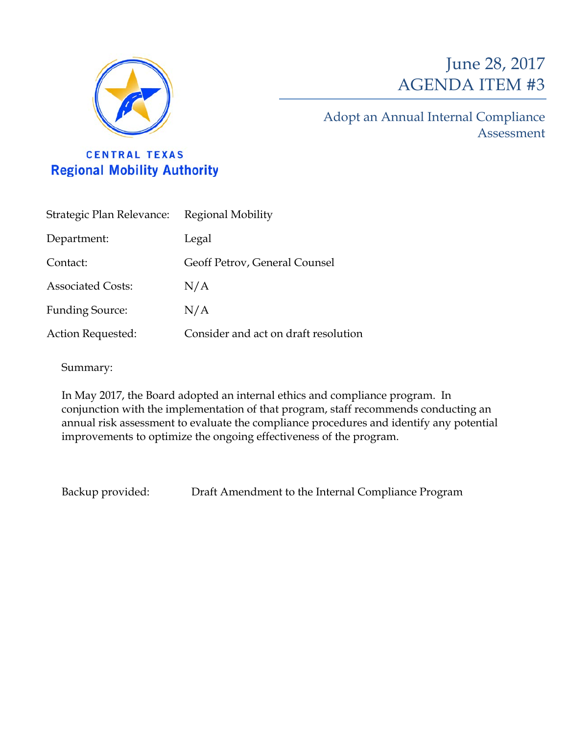

# June 28, 2017 AGENDA ITEM #3

Adopt an Annual Internal Compliance Assessment

**CENTRAL TEXAS Regional Mobility Authority** 

| Strategic Plan Relevance: | Regional Mobility                    |
|---------------------------|--------------------------------------|
| Department:               | Legal                                |
| Contact:                  | Geoff Petrov, General Counsel        |
| <b>Associated Costs:</b>  | N/A                                  |
| <b>Funding Source:</b>    | N/A                                  |
| Action Requested:         | Consider and act on draft resolution |

Summary:

In May 2017, the Board adopted an internal ethics and compliance program. In conjunction with the implementation of that program, staff recommends conducting an annual risk assessment to evaluate the compliance procedures and identify any potential improvements to optimize the ongoing effectiveness of the program.

Backup provided: Draft Amendment to the Internal Compliance Program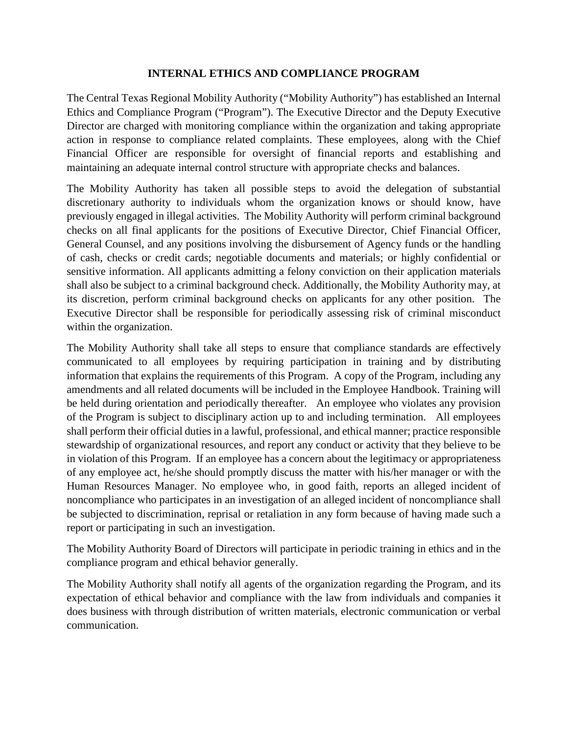#### **INTERNAL ETHICS AND COMPLIANCE PROGRAM**

The Central Texas Regional Mobility Authority ("Mobility Authority") has established an Internal Ethics and Compliance Program ("Program"). The Executive Director and the Deputy Executive Director are charged with monitoring compliance within the organization and taking appropriate action in response to compliance related complaints. These employees, along with the Chief Financial Officer are responsible for oversight of financial reports and establishing and maintaining an adequate internal control structure with appropriate checks and balances.

The Mobility Authority has taken all possible steps to avoid the delegation of substantial discretionary authority to individuals whom the organization knows or should know, have previously engaged in illegal activities. The Mobility Authority will perform criminal background checks on all final applicants for the positions of Executive Director, Chief Financial Officer, General Counsel, and any positions involving the disbursement of Agency funds or the handling of cash, checks or credit cards; negotiable documents and materials; or highly confidential or sensitive information. All applicants admitting a felony conviction on their application materials shall also be subject to a criminal background check. Additionally, the Mobility Authority may, at its discretion, perform criminal background checks on applicants for any other position. The Executive Director shall be responsible for periodically assessing risk of criminal misconduct within the organization.

The Mobility Authority shall take all steps to ensure that compliance standards are effectively communicated to all employees by requiring participation in training and by distributing information that explains the requirements of this Program. A copy of the Program, including any amendments and all related documents will be included in the Employee Handbook. Training will be held during orientation and periodically thereafter. An employee who violates any provision of the Program is subject to disciplinary action up to and including termination. All employees shall perform their official duties in a lawful, professional, and ethical manner; practice responsible stewardship of organizational resources, and report any conduct or activity that they believe to be in violation of this Program. If an employee has a concern about the legitimacy or appropriateness of any employee act, he/she should promptly discuss the matter with his/her manager or with the Human Resources Manager. No employee who, in good faith, reports an alleged incident of noncompliance who participates in an investigation of an alleged incident of noncompliance shall be subjected to discrimination, reprisal or retaliation in any form because of having made such a report or participating in such an investigation.

The Mobility Authority Board of Directors will participate in periodic training in ethics and in the compliance program and ethical behavior generally.

The Mobility Authority shall notify all agents of the organization regarding the Program, and its expectation of ethical behavior and compliance with the law from individuals and companies it does business with through distribution of written materials, electronic communication or verbal communication.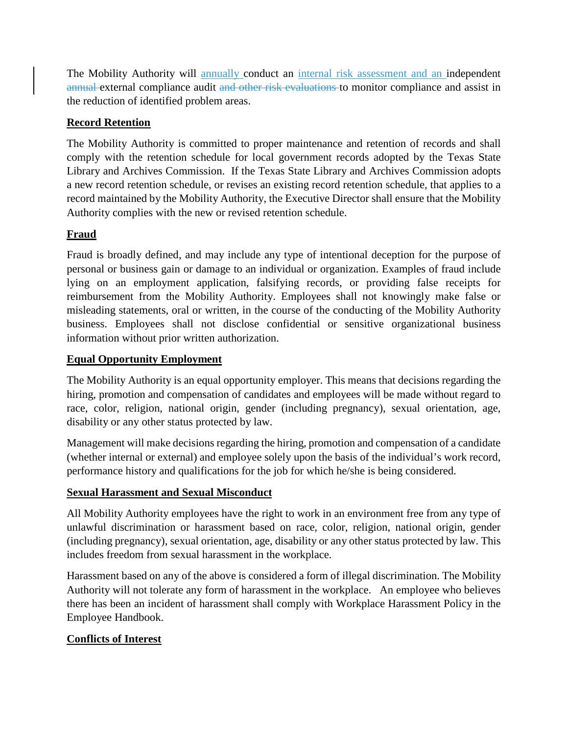The Mobility Authority will annually conduct an internal risk assessment and an independent annual external compliance audit and other risk evaluations to monitor compliance and assist in the reduction of identified problem areas.

## **Record Retention**

The Mobility Authority is committed to proper maintenance and retention of records and shall comply with the retention schedule for local government records adopted by the Texas State Library and Archives Commission. If the Texas State Library and Archives Commission adopts a new record retention schedule, or revises an existing record retention schedule, that applies to a record maintained by the Mobility Authority, the Executive Director shall ensure that the Mobility Authority complies with the new or revised retention schedule.

## **Fraud**

Fraud is broadly defined, and may include any type of intentional deception for the purpose of personal or business gain or damage to an individual or organization. Examples of fraud include lying on an employment application, falsifying records, or providing false receipts for reimbursement from the Mobility Authority. Employees shall not knowingly make false or misleading statements, oral or written, in the course of the conducting of the Mobility Authority business. Employees shall not disclose confidential or sensitive organizational business information without prior written authorization.

### **Equal Opportunity Employment**

The Mobility Authority is an equal opportunity employer. This means that decisions regarding the hiring, promotion and compensation of candidates and employees will be made without regard to race, color, religion, national origin, gender (including pregnancy), sexual orientation, age, disability or any other status protected by law.

Management will make decisions regarding the hiring, promotion and compensation of a candidate (whether internal or external) and employee solely upon the basis of the individual's work record, performance history and qualifications for the job for which he/she is being considered.

### **Sexual Harassment and Sexual Misconduct**

All Mobility Authority employees have the right to work in an environment free from any type of unlawful discrimination or harassment based on race, color, religion, national origin, gender (including pregnancy), sexual orientation, age, disability or any other status protected by law. This includes freedom from sexual harassment in the workplace.

Harassment based on any of the above is considered a form of illegal discrimination. The Mobility Authority will not tolerate any form of harassment in the workplace. An employee who believes there has been an incident of harassment shall comply with Workplace Harassment Policy in the Employee Handbook.

## **Conflicts of Interest**